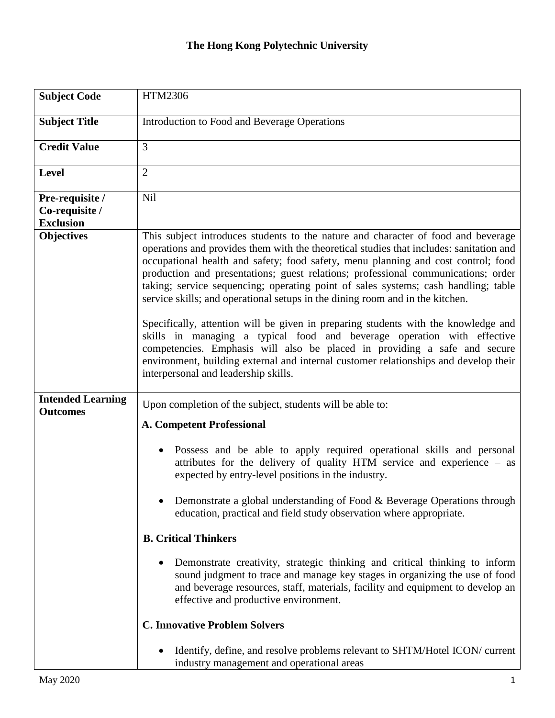| <b>Subject Code</b>                                   | HTM2306                                                                                                                                                                                                                                                                                                                                                                                                                                                                                                                                                                                                                                                                                                                                                                                                                                                                                                     |  |  |
|-------------------------------------------------------|-------------------------------------------------------------------------------------------------------------------------------------------------------------------------------------------------------------------------------------------------------------------------------------------------------------------------------------------------------------------------------------------------------------------------------------------------------------------------------------------------------------------------------------------------------------------------------------------------------------------------------------------------------------------------------------------------------------------------------------------------------------------------------------------------------------------------------------------------------------------------------------------------------------|--|--|
| <b>Subject Title</b>                                  | Introduction to Food and Beverage Operations                                                                                                                                                                                                                                                                                                                                                                                                                                                                                                                                                                                                                                                                                                                                                                                                                                                                |  |  |
| <b>Credit Value</b>                                   | 3                                                                                                                                                                                                                                                                                                                                                                                                                                                                                                                                                                                                                                                                                                                                                                                                                                                                                                           |  |  |
| <b>Level</b>                                          | $\overline{2}$                                                                                                                                                                                                                                                                                                                                                                                                                                                                                                                                                                                                                                                                                                                                                                                                                                                                                              |  |  |
| Pre-requisite /<br>Co-requisite /<br><b>Exclusion</b> | Nil                                                                                                                                                                                                                                                                                                                                                                                                                                                                                                                                                                                                                                                                                                                                                                                                                                                                                                         |  |  |
| <b>Objectives</b>                                     | This subject introduces students to the nature and character of food and beverage<br>operations and provides them with the theoretical studies that includes: sanitation and<br>occupational health and safety; food safety, menu planning and cost control; food<br>production and presentations; guest relations; professional communications; order<br>taking; service sequencing; operating point of sales systems; cash handling; table<br>service skills; and operational setups in the dining room and in the kitchen.<br>Specifically, attention will be given in preparing students with the knowledge and<br>skills in managing a typical food and beverage operation with effective<br>competencies. Emphasis will also be placed in providing a safe and secure<br>environment, building external and internal customer relationships and develop their<br>interpersonal and leadership skills. |  |  |
| <b>Intended Learning</b><br><b>Outcomes</b>           | Upon completion of the subject, students will be able to:                                                                                                                                                                                                                                                                                                                                                                                                                                                                                                                                                                                                                                                                                                                                                                                                                                                   |  |  |
|                                                       | <b>A. Competent Professional</b><br>Possess and be able to apply required operational skills and personal<br>$\bullet$<br>attributes for the delivery of quality HTM service and experience - as<br>expected by entry-level positions in the industry.                                                                                                                                                                                                                                                                                                                                                                                                                                                                                                                                                                                                                                                      |  |  |
|                                                       |                                                                                                                                                                                                                                                                                                                                                                                                                                                                                                                                                                                                                                                                                                                                                                                                                                                                                                             |  |  |
|                                                       | Demonstrate a global understanding of Food & Beverage Operations through<br>education, practical and field study observation where appropriate.                                                                                                                                                                                                                                                                                                                                                                                                                                                                                                                                                                                                                                                                                                                                                             |  |  |
|                                                       | <b>B. Critical Thinkers</b>                                                                                                                                                                                                                                                                                                                                                                                                                                                                                                                                                                                                                                                                                                                                                                                                                                                                                 |  |  |
|                                                       | Demonstrate creativity, strategic thinking and critical thinking to inform<br>٠<br>sound judgment to trace and manage key stages in organizing the use of food<br>and beverage resources, staff, materials, facility and equipment to develop an<br>effective and productive environment.                                                                                                                                                                                                                                                                                                                                                                                                                                                                                                                                                                                                                   |  |  |
|                                                       | <b>C. Innovative Problem Solvers</b>                                                                                                                                                                                                                                                                                                                                                                                                                                                                                                                                                                                                                                                                                                                                                                                                                                                                        |  |  |
|                                                       | Identify, define, and resolve problems relevant to SHTM/Hotel ICON/ current<br>industry management and operational areas                                                                                                                                                                                                                                                                                                                                                                                                                                                                                                                                                                                                                                                                                                                                                                                    |  |  |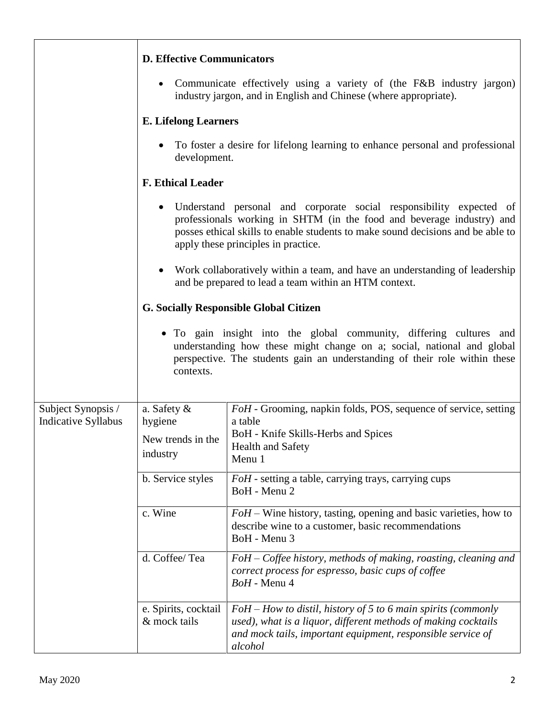|                                                  | <b>D. Effective Communicators</b>                                                                                                                                                                                                                                      |                                                                                                                                                                                                           |  |  |
|--------------------------------------------------|------------------------------------------------------------------------------------------------------------------------------------------------------------------------------------------------------------------------------------------------------------------------|-----------------------------------------------------------------------------------------------------------------------------------------------------------------------------------------------------------|--|--|
|                                                  |                                                                                                                                                                                                                                                                        | • Communicate effectively using a variety of (the F&B industry jargon)<br>industry jargon, and in English and Chinese (where appropriate).                                                                |  |  |
|                                                  | <b>E. Lifelong Learners</b>                                                                                                                                                                                                                                            |                                                                                                                                                                                                           |  |  |
|                                                  | To foster a desire for lifelong learning to enhance personal and professional<br>development.                                                                                                                                                                          |                                                                                                                                                                                                           |  |  |
|                                                  | <b>F. Ethical Leader</b>                                                                                                                                                                                                                                               |                                                                                                                                                                                                           |  |  |
|                                                  | Understand personal and corporate social responsibility expected of<br>professionals working in SHTM (in the food and beverage industry) and<br>posses ethical skills to enable students to make sound decisions and be able to<br>apply these principles in practice. |                                                                                                                                                                                                           |  |  |
|                                                  | • Work collaboratively within a team, and have an understanding of leadership<br>and be prepared to lead a team within an HTM context.                                                                                                                                 |                                                                                                                                                                                                           |  |  |
|                                                  | <b>G. Socially Responsible Global Citizen</b>                                                                                                                                                                                                                          |                                                                                                                                                                                                           |  |  |
|                                                  | • To gain insight into the global community, differing cultures and<br>understanding how these might change on a; social, national and global<br>perspective. The students gain an understanding of their role within these<br>contexts.                               |                                                                                                                                                                                                           |  |  |
| Subject Synopsis /<br><b>Indicative Syllabus</b> | a. Safety &<br>hygiene<br>New trends in the<br>industry                                                                                                                                                                                                                | FoH - Grooming, napkin folds, POS, sequence of service, setting<br>a table<br>BoH - Knife Skills-Herbs and Spices<br>Health and Safety<br>Menu 1                                                          |  |  |
|                                                  | b. Service styles                                                                                                                                                                                                                                                      | FoH - setting a table, carrying trays, carrying cups<br>BoH - Menu 2                                                                                                                                      |  |  |
|                                                  | c. Wine                                                                                                                                                                                                                                                                | $FoH$ – Wine history, tasting, opening and basic varieties, how to<br>describe wine to a customer, basic recommendations<br>BoH - Menu 3                                                                  |  |  |
|                                                  | d. Coffee/Tea                                                                                                                                                                                                                                                          | FoH – Coffee history, methods of making, roasting, cleaning and<br>correct process for espresso, basic cups of coffee<br>BoH - Menu 4                                                                     |  |  |
|                                                  | e. Spirits, cocktail<br>& mock tails                                                                                                                                                                                                                                   | $FoH-How$ to distil, history of 5 to 6 main spirits (commonly<br>used), what is a liquor, different methods of making cocktails<br>and mock tails, important equipment, responsible service of<br>alcohol |  |  |